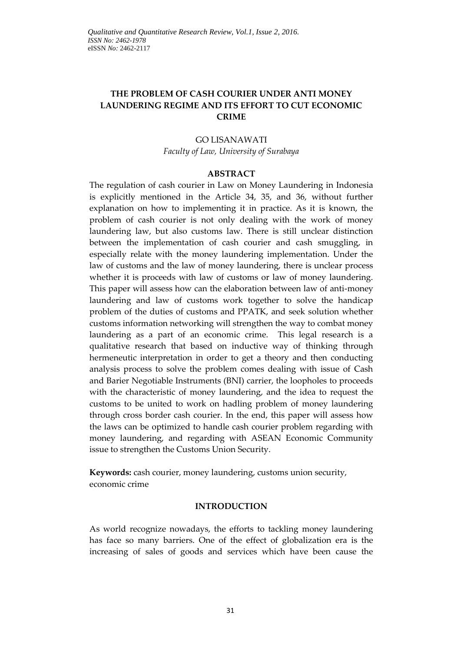# **THE PROBLEM OF CASH COURIER UNDER ANTI MONEY LAUNDERING REGIME AND ITS EFFORT TO CUT ECONOMIC CRIME**

# GO LISANAWATI *Faculty of Law, University of Surabaya*

### **ABSTRACT**

The regulation of cash courier in Law on Money Laundering in Indonesia is explicitly mentioned in the Article 34, 35, and 36, without further explanation on how to implementing it in practice. As it is known, the problem of cash courier is not only dealing with the work of money laundering law, but also customs law. There is still unclear distinction between the implementation of cash courier and cash smuggling, in especially relate with the money laundering implementation. Under the law of customs and the law of money laundering, there is unclear process whether it is proceeds with law of customs or law of money laundering. This paper will assess how can the elaboration between law of anti-money laundering and law of customs work together to solve the handicap problem of the duties of customs and PPATK, and seek solution whether customs information networking will strengthen the way to combat money laundering as a part of an economic crime. This legal research is a qualitative research that based on inductive way of thinking through hermeneutic interpretation in order to get a theory and then conducting analysis process to solve the problem comes dealing with issue of Cash and Barier Negotiable Instruments (BNI) carrier, the loopholes to proceeds with the characteristic of money laundering, and the idea to request the customs to be united to work on hadling problem of money laundering through cross border cash courier. In the end, this paper will assess how the laws can be optimized to handle cash courier problem regarding with money laundering, and regarding with ASEAN Economic Community issue to strengthen the Customs Union Security.

**Keywords:** cash courier, money laundering, customs union security, economic crime

#### **INTRODUCTION**

As world recognize nowadays, the efforts to tackling money laundering has face so many barriers. One of the effect of globalization era is the increasing of sales of goods and services which have been cause the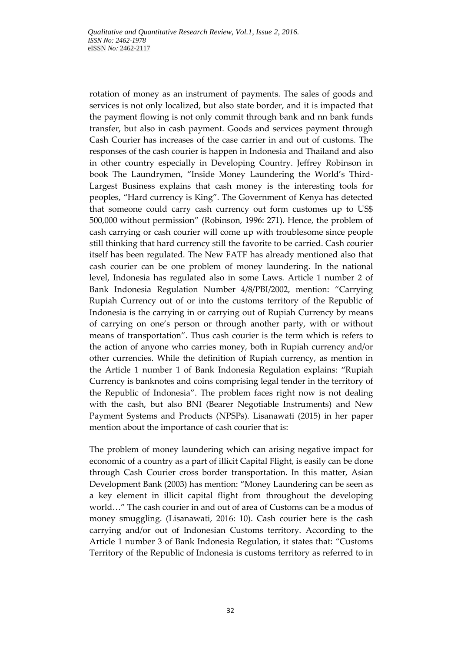rotation of money as an instrument of payments. The sales of goods and services is not only localized, but also state border, and it is impacted that the payment flowing is not only commit through bank and nn bank funds transfer, but also in cash payment. Goods and services payment through Cash Courier has increases of the case carrier in and out of customs. The responses of the cash courier is happen in Indonesia and Thailand and also in other country especially in Developing Country. Jeffrey Robinson in book The Laundrymen, "Inside Money Laundering the World's Third-Largest Business explains that cash money is the interesting tools for peoples, "Hard currency is King". The Government of Kenya has detected that someone could carry cash currency out form customes up to US\$ 500,000 without permission" (Robinson, 1996: 271). Hence, the problem of cash carrying or cash courier will come up with troublesome since people still thinking that hard currency still the favorite to be carried. Cash courier itself has been regulated. The New FATF has already mentioned also that cash courier can be one problem of money laundering. In the national level, Indonesia has regulated also in some Laws. Article 1 number 2 of Bank Indonesia Regulation Number 4/8/PBI/2002, mention: "Carrying Rupiah Currency out of or into the customs territory of the Republic of Indonesia is the carrying in or carrying out of Rupiah Currency by means of carrying on one's person or through another party, with or without means of transportation". Thus cash courier is the term which is refers to the action of anyone who carries money, both in Rupiah currency and/or other currencies. While the definition of Rupiah currency, as mention in the Article 1 number 1 of Bank Indonesia Regulation explains: "Rupiah Currency is banknotes and coins comprising legal tender in the territory of the Republic of Indonesia". The problem faces right now is not dealing with the cash, but also BNI (Bearer Negotiable Instruments) and New Payment Systems and Products (NPSPs). Lisanawati (2015) in her paper mention about the importance of cash courier that is:

The problem of money laundering which can arising negative impact for economic of a country as a part of illicit Capital Flight, is easily can be done through Cash Courier cross border transportation. In this matter, Asian Development Bank (2003) has mention: "Money Laundering can be seen as a key element in illicit capital flight from throughout the developing world…" The cash courier in and out of area of Customs can be a modus of money smuggling. (Lisanawati, 2016: 10). Cash courie**r** here is the cash carrying and/or out of Indonesian Customs territory. According to the Article 1 number 3 of Bank Indonesia Regulation, it states that: "Customs Territory of the Republic of Indonesia is customs territory as referred to in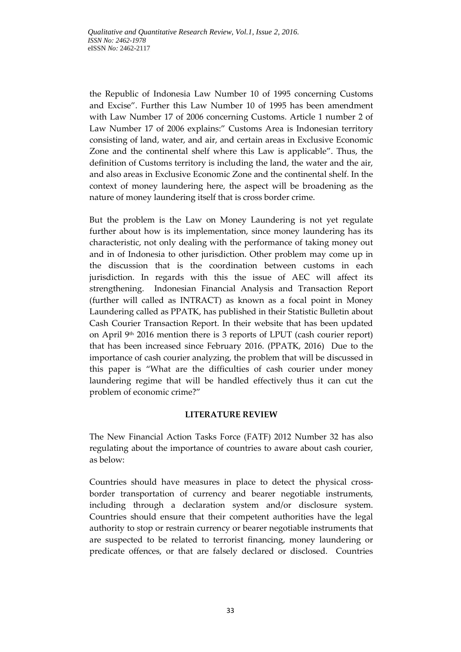the Republic of Indonesia Law Number 10 of 1995 concerning Customs and Excise". Further this Law Number 10 of 1995 has been amendment with Law Number 17 of 2006 concerning Customs. Article 1 number 2 of Law Number 17 of 2006 explains:" Customs Area is Indonesian territory consisting of land, water, and air, and certain areas in Exclusive Economic Zone and the continental shelf where this Law is applicable". Thus, the definition of Customs territory is including the land, the water and the air, and also areas in Exclusive Economic Zone and the continental shelf. In the context of money laundering here, the aspect will be broadening as the nature of money laundering itself that is cross border crime.

But the problem is the Law on Money Laundering is not yet regulate further about how is its implementation, since money laundering has its characteristic, not only dealing with the performance of taking money out and in of Indonesia to other jurisdiction. Other problem may come up in the discussion that is the coordination between customs in each jurisdiction. In regards with this the issue of AEC will affect its strengthening. Indonesian Financial Analysis and Transaction Report (further will called as INTRACT) as known as a focal point in Money Laundering called as PPATK, has published in their Statistic Bulletin about Cash Courier Transaction Report. In their website that has been updated on April 9th 2016 mention there is 3 reports of LPUT (cash courier report) that has been increased since February 2016. (PPATK, 2016) Due to the importance of cash courier analyzing, the problem that will be discussed in this paper is "What are the difficulties of cash courier under money laundering regime that will be handled effectively thus it can cut the problem of economic crime?"

## **LITERATURE REVIEW**

The New Financial Action Tasks Force (FATF) 2012 Number 32 has also regulating about the importance of countries to aware about cash courier, as below:

Countries should have measures in place to detect the physical crossborder transportation of currency and bearer negotiable instruments, including through a declaration system and/or disclosure system. Countries should ensure that their competent authorities have the legal authority to stop or restrain currency or bearer negotiable instruments that are suspected to be related to terrorist financing, money laundering or predicate offences, or that are falsely declared or disclosed. Countries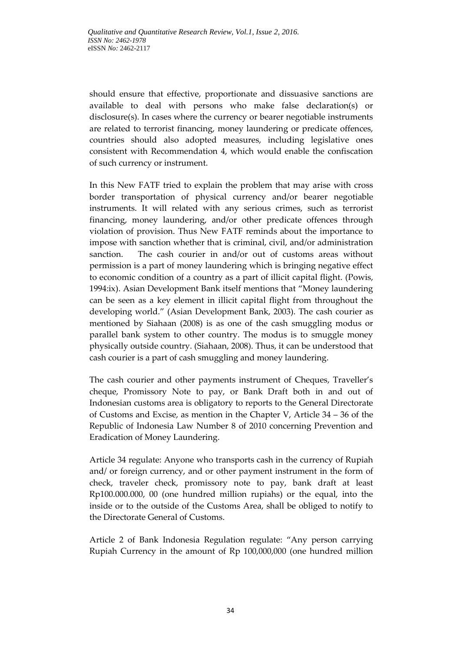should ensure that effective, proportionate and dissuasive sanctions are available to deal with persons who make false declaration(s) or disclosure(s). In cases where the currency or bearer negotiable instruments are related to terrorist financing, money laundering or predicate offences, countries should also adopted measures, including legislative ones consistent with Recommendation 4, which would enable the confiscation of such currency or instrument.

In this New FATF tried to explain the problem that may arise with cross border transportation of physical currency and/or bearer negotiable instruments. It will related with any serious crimes, such as terrorist financing, money laundering, and/or other predicate offences through violation of provision. Thus New FATF reminds about the importance to impose with sanction whether that is criminal, civil, and/or administration sanction. The cash courier in and/or out of customs areas without permission is a part of money laundering which is bringing negative effect to economic condition of a country as a part of illicit capital flight. (Powis, 1994:ix). Asian Development Bank itself mentions that "Money laundering can be seen as a key element in illicit capital flight from throughout the developing world." (Asian Development Bank, 2003). The cash courier as mentioned by Siahaan (2008) is as one of the cash smuggling modus or parallel bank system to other country. The modus is to smuggle money physically outside country. (Siahaan, 2008). Thus, it can be understood that cash courier is a part of cash smuggling and money laundering.

The cash courier and other payments instrument of Cheques, Traveller's cheque, Promissory Note to pay, or Bank Draft both in and out of Indonesian customs area is obligatory to reports to the General Directorate of Customs and Excise, as mention in the Chapter V, Article 34 – 36 of the Republic of Indonesia Law Number 8 of 2010 concerning Prevention and Eradication of Money Laundering.

Article 34 regulate: Anyone who transports cash in the currency of Rupiah and/ or foreign currency, and or other payment instrument in the form of check, traveler check, promissory note to pay, bank draft at least Rp100.000.000, 00 (one hundred million rupiahs) or the equal, into the inside or to the outside of the Customs Area, shall be obliged to notify to the Directorate General of Customs.

Article 2 of Bank Indonesia Regulation regulate: "Any person carrying Rupiah Currency in the amount of Rp 100,000,000 (one hundred million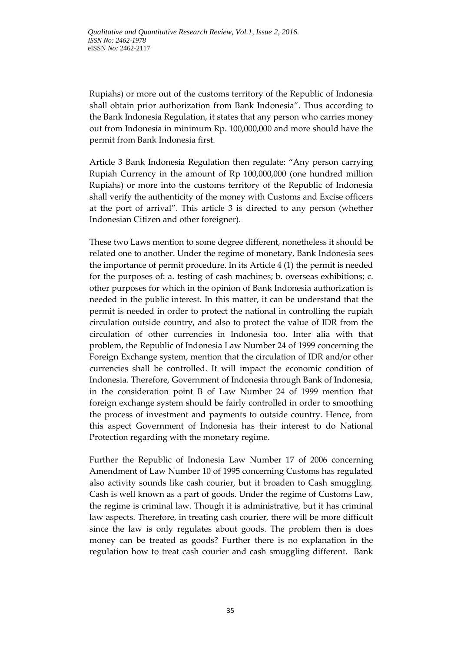Rupiahs) or more out of the customs territory of the Republic of Indonesia shall obtain prior authorization from Bank Indonesia". Thus according to the Bank Indonesia Regulation, it states that any person who carries money out from Indonesia in minimum Rp. 100,000,000 and more should have the permit from Bank Indonesia first.

Article 3 Bank Indonesia Regulation then regulate: "Any person carrying Rupiah Currency in the amount of Rp 100,000,000 (one hundred million Rupiahs) or more into the customs territory of the Republic of Indonesia shall verify the authenticity of the money with Customs and Excise officers at the port of arrival". This article 3 is directed to any person (whether Indonesian Citizen and other foreigner).

These two Laws mention to some degree different, nonetheless it should be related one to another. Under the regime of monetary, Bank Indonesia sees the importance of permit procedure. In its Article 4 (1) the permit is needed for the purposes of: a. testing of cash machines; b. overseas exhibitions; c. other purposes for which in the opinion of Bank Indonesia authorization is needed in the public interest. In this matter, it can be understand that the permit is needed in order to protect the national in controlling the rupiah circulation outside country, and also to protect the value of IDR from the circulation of other currencies in Indonesia too. Inter alia with that problem, the Republic of Indonesia Law Number 24 of 1999 concerning the Foreign Exchange system, mention that the circulation of IDR and/or other currencies shall be controlled. It will impact the economic condition of Indonesia. Therefore, Government of Indonesia through Bank of Indonesia, in the consideration point B of Law Number 24 of 1999 mention that foreign exchange system should be fairly controlled in order to smoothing the process of investment and payments to outside country. Hence, from this aspect Government of Indonesia has their interest to do National Protection regarding with the monetary regime.

Further the Republic of Indonesia Law Number 17 of 2006 concerning Amendment of Law Number 10 of 1995 concerning Customs has regulated also activity sounds like cash courier, but it broaden to Cash smuggling. Cash is well known as a part of goods. Under the regime of Customs Law, the regime is criminal law. Though it is administrative, but it has criminal law aspects. Therefore, in treating cash courier, there will be more difficult since the law is only regulates about goods. The problem then is does money can be treated as goods? Further there is no explanation in the regulation how to treat cash courier and cash smuggling different. Bank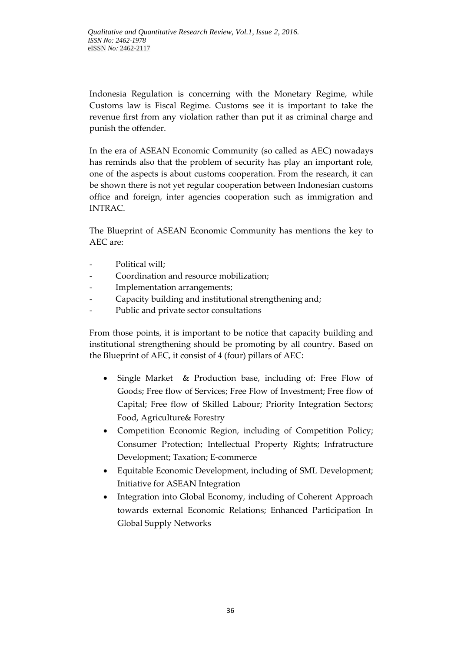Indonesia Regulation is concerning with the Monetary Regime, while Customs law is Fiscal Regime. Customs see it is important to take the revenue first from any violation rather than put it as criminal charge and punish the offender.

In the era of ASEAN Economic Community (so called as AEC) nowadays has reminds also that the problem of security has play an important role, one of the aspects is about customs cooperation. From the research, it can be shown there is not yet regular cooperation between Indonesian customs office and foreign, inter agencies cooperation such as immigration and INTRAC.

The Blueprint of ASEAN Economic Community has mentions the key to AEC are:

- Political will;
- Coordination and resource mobilization;
- Implementation arrangements;
- Capacity building and institutional strengthening and;
- Public and private sector consultations

From those points, it is important to be notice that capacity building and institutional strengthening should be promoting by all country. Based on the Blueprint of AEC, it consist of 4 (four) pillars of AEC:

- Single Market & Production base, including of: Free Flow of Goods; Free flow of Services; Free Flow of Investment; Free flow of Capital; Free flow of Skilled Labour; Priority Integration Sectors; Food, Agriculture& Forestry
- Competition Economic Region, including of Competition Policy; Consumer Protection; Intellectual Property Rights; Infratructure Development; Taxation; E-commerce
- Equitable Economic Development, including of SML Development; Initiative for ASEAN Integration
- Integration into Global Economy, including of Coherent Approach towards external Economic Relations; Enhanced Participation In Global Supply Networks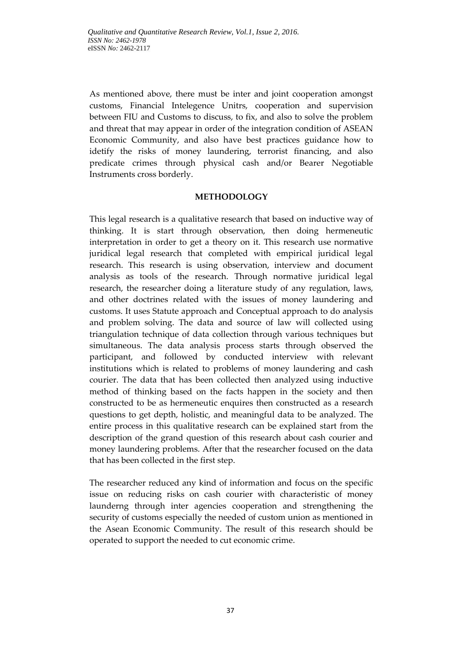As mentioned above, there must be inter and joint cooperation amongst customs, Financial Intelegence Unitrs, cooperation and supervision between FIU and Customs to discuss, to fix, and also to solve the problem and threat that may appear in order of the integration condition of ASEAN Economic Community, and also have best practices guidance how to idetify the risks of money laundering, terrorist financing, and also predicate crimes through physical cash and/or Bearer Negotiable Instruments cross borderly.

## **METHODOLOGY**

This legal research is a qualitative research that based on inductive way of thinking. It is start through observation, then doing hermeneutic interpretation in order to get a theory on it. This research use normative juridical legal research that completed with empirical juridical legal research. This research is using observation, interview and document analysis as tools of the research. Through normative juridical legal research, the researcher doing a literature study of any regulation, laws, and other doctrines related with the issues of money laundering and customs. It uses Statute approach and Conceptual approach to do analysis and problem solving. The data and source of law will collected using triangulation technique of data collection through various techniques but simultaneous. The data analysis process starts through observed the participant, and followed by conducted interview with relevant institutions which is related to problems of money laundering and cash courier. The data that has been collected then analyzed using inductive method of thinking based on the facts happen in the society and then constructed to be as hermeneutic enquires then constructed as a research questions to get depth, holistic, and meaningful data to be analyzed. The entire process in this qualitative research can be explained start from the description of the grand question of this research about cash courier and money laundering problems. After that the researcher focused on the data that has been collected in the first step.

The researcher reduced any kind of information and focus on the specific issue on reducing risks on cash courier with characteristic of money launderng through inter agencies cooperation and strengthening the security of customs especially the needed of custom union as mentioned in the Asean Economic Community. The result of this research should be operated to support the needed to cut economic crime.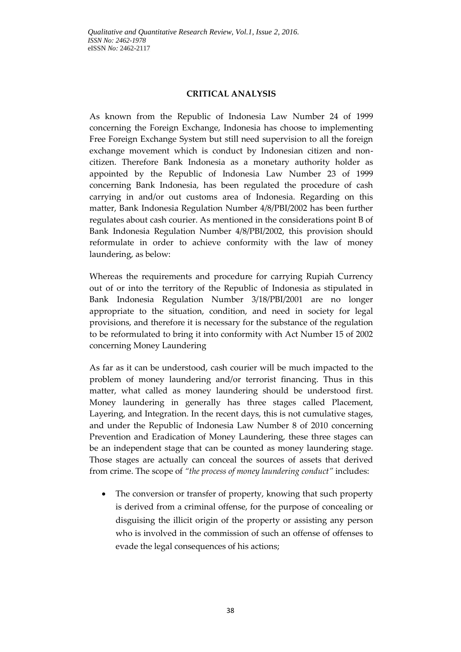### **CRITICAL ANALYSIS**

As known from the Republic of Indonesia Law Number 24 of 1999 concerning the Foreign Exchange, Indonesia has choose to implementing Free Foreign Exchange System but still need supervision to all the foreign exchange movement which is conduct by Indonesian citizen and noncitizen. Therefore Bank Indonesia as a monetary authority holder as appointed by the Republic of Indonesia Law Number 23 of 1999 concerning Bank Indonesia, has been regulated the procedure of cash carrying in and/or out customs area of Indonesia. Regarding on this matter, Bank Indonesia Regulation Number 4/8/PBI/2002 has been further regulates about cash courier. As mentioned in the considerations point B of Bank Indonesia Regulation Number 4/8/PBI/2002, this provision should reformulate in order to achieve conformity with the law of money laundering, as below:

Whereas the requirements and procedure for carrying Rupiah Currency out of or into the territory of the Republic of Indonesia as stipulated in Bank Indonesia Regulation Number 3/18/PBI/2001 are no longer appropriate to the situation, condition, and need in society for legal provisions, and therefore it is necessary for the substance of the regulation to be reformulated to bring it into conformity with Act Number 15 of 2002 concerning Money Laundering

As far as it can be understood, cash courier will be much impacted to the problem of money laundering and/or terrorist financing. Thus in this matter, what called as money laundering should be understood first. Money laundering in generally has three stages called Placement, Layering, and Integration. In the recent days, this is not cumulative stages, and under the Republic of Indonesia Law Number 8 of 2010 concerning Prevention and Eradication of Money Laundering, these three stages can be an independent stage that can be counted as money laundering stage. Those stages are actually can conceal the sources of assets that derived from crime. The scope of *"the process of money laundering conduct"* includes:

• The conversion or transfer of property, knowing that such property is derived from a criminal offense, for the purpose of concealing or disguising the illicit origin of the property or assisting any person who is involved in the commission of such an offense of offenses to evade the legal consequences of his actions;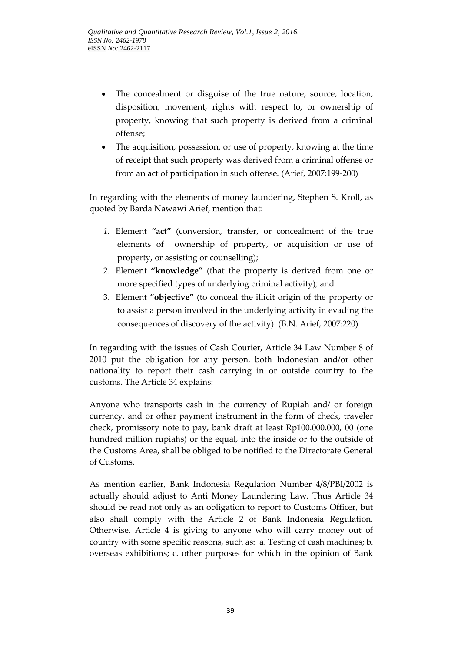- The concealment or disguise of the true nature, source, location, disposition, movement, rights with respect to, or ownership of property, knowing that such property is derived from a criminal offense;
- The acquisition, possession, or use of property, knowing at the time of receipt that such property was derived from a criminal offense or from an act of participation in such offense. (Arief, 2007:199-200)

In regarding with the elements of money laundering, Stephen S. Kroll, as quoted by Barda Nawawi Arief, mention that:

- *1.* Element **"act"** (conversion, transfer, or concealment of the true elements of ownership of property, or acquisition or use of property, or assisting or counselling);
- 2. Element **"knowledge"** (that the property is derived from one or more specified types of underlying criminal activity)*;* and
- 3. Element **"objective"** (to conceal the illicit origin of the property or to assist a person involved in the underlying activity in evading the consequences of discovery of the activity)*.* (B.N. Arief, 2007:220)

In regarding with the issues of Cash Courier, Article 34 Law Number 8 of 2010 put the obligation for any person, both Indonesian and/or other nationality to report their cash carrying in or outside country to the customs. The Article 34 explains:

Anyone who transports cash in the currency of Rupiah and/ or foreign currency, and or other payment instrument in the form of check, traveler check, promissory note to pay, bank draft at least Rp100.000.000, 00 (one hundred million rupiahs) or the equal, into the inside or to the outside of the Customs Area, shall be obliged to be notified to the Directorate General of Customs.

As mention earlier, Bank Indonesia Regulation Number 4/8/PBI/2002 is actually should adjust to Anti Money Laundering Law. Thus Article 34 should be read not only as an obligation to report to Customs Officer, but also shall comply with the Article 2 of Bank Indonesia Regulation. Otherwise, Article 4 is giving to anyone who will carry money out of country with some specific reasons, such as: a. Testing of cash machines; b. overseas exhibitions; c. other purposes for which in the opinion of Bank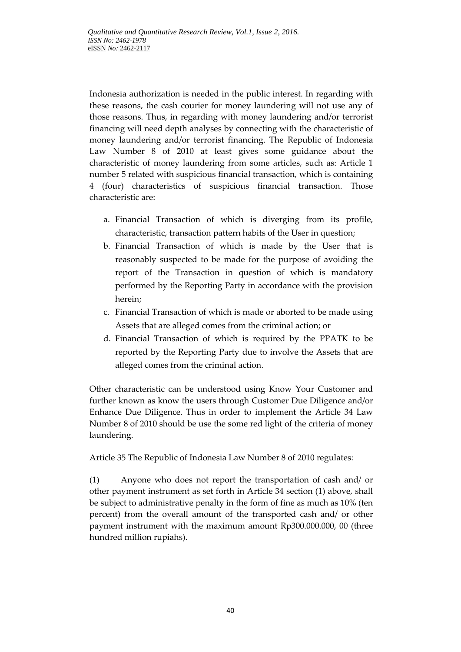Indonesia authorization is needed in the public interest. In regarding with these reasons, the cash courier for money laundering will not use any of those reasons. Thus, in regarding with money laundering and/or terrorist financing will need depth analyses by connecting with the characteristic of money laundering and/or terrorist financing. The Republic of Indonesia Law Number 8 of 2010 at least gives some guidance about the characteristic of money laundering from some articles, such as: Article 1 number 5 related with suspicious financial transaction, which is containing 4 (four) characteristics of suspicious financial transaction. Those characteristic are:

- a. Financial Transaction of which is diverging from its profile, characteristic, transaction pattern habits of the User in question;
- b. Financial Transaction of which is made by the User that is reasonably suspected to be made for the purpose of avoiding the report of the Transaction in question of which is mandatory performed by the Reporting Party in accordance with the provision herein;
- c. Financial Transaction of which is made or aborted to be made using Assets that are alleged comes from the criminal action; or
- d. Financial Transaction of which is required by the PPATK to be reported by the Reporting Party due to involve the Assets that are alleged comes from the criminal action.

Other characteristic can be understood using Know Your Customer and further known as know the users through Customer Due Diligence and/or Enhance Due Diligence. Thus in order to implement the Article 34 Law Number 8 of 2010 should be use the some red light of the criteria of money laundering.

Article 35 The Republic of Indonesia Law Number 8 of 2010 regulates:

(1) Anyone who does not report the transportation of cash and/ or other payment instrument as set forth in Article 34 section (1) above, shall be subject to administrative penalty in the form of fine as much as 10% (ten percent) from the overall amount of the transported cash and/ or other payment instrument with the maximum amount Rp300.000.000, 00 (three hundred million rupiahs).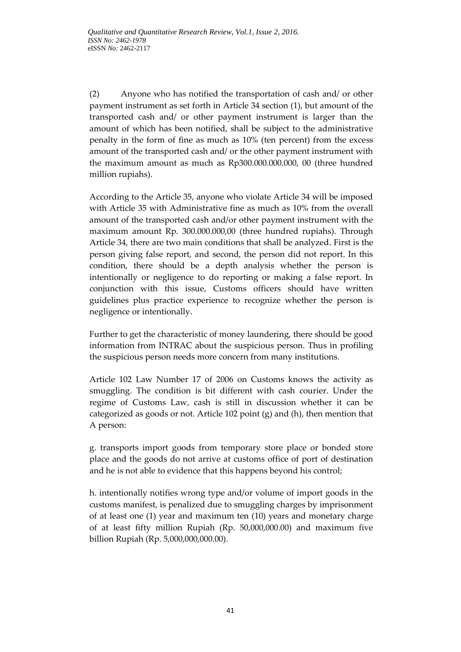(2) Anyone who has notified the transportation of cash and/ or other payment instrument as set forth in Article 34 section (1), but amount of the transported cash and/ or other payment instrument is larger than the amount of which has been notified, shall be subject to the administrative penalty in the form of fine as much as 10% (ten percent) from the excess amount of the transported cash and/ or the other payment instrument with the maximum amount as much as Rp300.000.000.000, 00 (three hundred million rupiahs).

According to the Article 35, anyone who violate Article 34 will be imposed with Article 35 with Administrative fine as much as 10% from the overall amount of the transported cash and/or other payment instrument with the maximum amount Rp. 300.000.000,00 (three hundred rupiahs). Through Article 34, there are two main conditions that shall be analyzed. First is the person giving false report, and second, the person did not report. In this condition, there should be a depth analysis whether the person is intentionally or negligence to do reporting or making a false report. In conjunction with this issue, Customs officers should have written guidelines plus practice experience to recognize whether the person is negligence or intentionally.

Further to get the characteristic of money laundering, there should be good information from INTRAC about the suspicious person. Thus in profiling the suspicious person needs more concern from many institutions.

Article 102 Law Number 17 of 2006 on Customs knows the activity as smuggling. The condition is bit different with cash courier. Under the regime of Customs Law, cash is still in discussion whether it can be categorized as goods or not. Article 102 point (g) and (h), then mention that A person:

g. transports import goods from temporary store place or bonded store place and the goods do not arrive at customs office of port of destination and he is not able to evidence that this happens beyond his control;

h. intentionally notifies wrong type and/or volume of import goods in the customs manifest, is penalized due to smuggling charges by imprisonment of at least one (1) year and maximum ten (10) years and monetary charge of at least fifty million Rupiah (Rp. 50,000,000.00) and maximum five billion Rupiah (Rp. 5,000,000,000.00).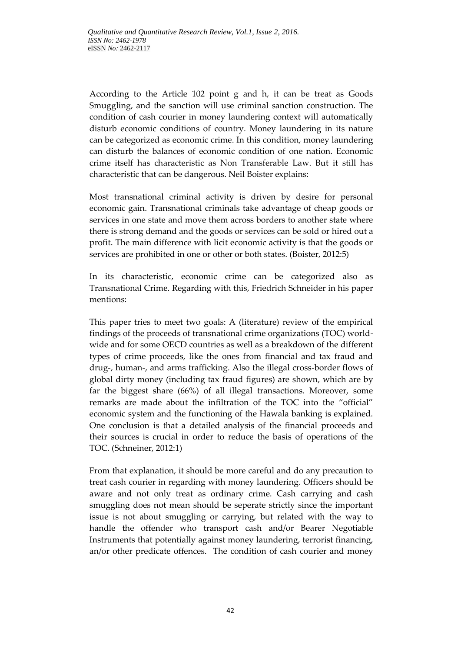According to the Article 102 point g and h, it can be treat as Goods Smuggling, and the sanction will use criminal sanction construction. The condition of cash courier in money laundering context will automatically disturb economic conditions of country. Money laundering in its nature can be categorized as economic crime. In this condition, money laundering can disturb the balances of economic condition of one nation. Economic crime itself has characteristic as Non Transferable Law. But it still has characteristic that can be dangerous. Neil Boister explains:

Most transnational criminal activity is driven by desire for personal economic gain. Transnational criminals take advantage of cheap goods or services in one state and move them across borders to another state where there is strong demand and the goods or services can be sold or hired out a profit. The main difference with licit economic activity is that the goods or services are prohibited in one or other or both states. (Boister, 2012:5)

In its characteristic, economic crime can be categorized also as Transnational Crime. Regarding with this, Friedrich Schneider in his paper mentions:

This paper tries to meet two goals: A (literature) review of the empirical findings of the proceeds of transnational crime organizations (TOC) worldwide and for some OECD countries as well as a breakdown of the different types of crime proceeds, like the ones from financial and tax fraud and drug-, human-, and arms trafficking. Also the illegal cross-border flows of global dirty money (including tax fraud figures) are shown, which are by far the biggest share (66%) of all illegal transactions. Moreover, some remarks are made about the infiltration of the TOC into the "official" economic system and the functioning of the Hawala banking is explained. One conclusion is that a detailed analysis of the financial proceeds and their sources is crucial in order to reduce the basis of operations of the TOC. (Schneiner, 2012:1)

From that explanation, it should be more careful and do any precaution to treat cash courier in regarding with money laundering. Officers should be aware and not only treat as ordinary crime. Cash carrying and cash smuggling does not mean should be seperate strictly since the important issue is not about smuggling or carrying, but related with the way to handle the offender who transport cash and/or Bearer Negotiable Instruments that potentially against money laundering, terrorist financing, an/or other predicate offences. The condition of cash courier and money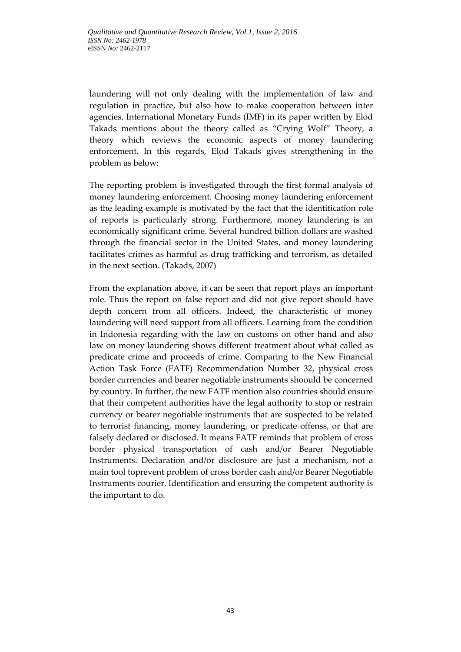laundering will not only dealing with the implementation of law and regulation in practice, but also how to make cooperation between inter agencies. International Monetary Funds (IMF) in its paper written by Elod Takads mentions about the theory called as "Crying Wolf" Theory, a theory which reviews the economic aspects of money laundering enforcement. In this regards, Elod Takads gives strengthening in the problem as below:

The reporting problem is investigated through the first formal analysis of money laundering enforcement. Choosing money laundering enforcement as the leading example is motivated by the fact that the identification role of reports is particularly strong. Furthermore, money laundering is an economically significant crime. Several hundred billion dollars are washed through the financial sector in the United States, and money laundering facilitates crimes as harmful as drug trafficking and terrorism, as detailed in the next section. (Takads, 2007)

From the explanation above, it can be seen that report plays an important role. Thus the report on false report and did not give report should have depth concern from all officers. Indeed, the characteristic of money laundering will need support from all officers. Learning from the condition in Indonesia regarding with the law on customs on other hand and also law on money laundering shows different treatment about what called as predicate crime and proceeds of crime. Comparing to the New Financial Action Task Force (FATF) Recommendation Number 32, physical cross border currencies and bearer negotiable instruments shoould be concerned by country. In further, the new FATF mention also countries should ensure that their competent authorities have the legal authority to stop or restrain currency or bearer negotiable instruments that are suspected to be related to terrorist financing, money laundering, or predicate offenss, or that are falsely declared or disclosed. It means FATF reminds that problem of cross border physical transportation of cash and/or Bearer Negotiable Instruments. Declaration and/or disclosure are just a mechanism, not a main tool toprevent problem of cross border cash and/or Bearer Negotiable Instruments courier. Identification and ensuring the competent authority is the important to do.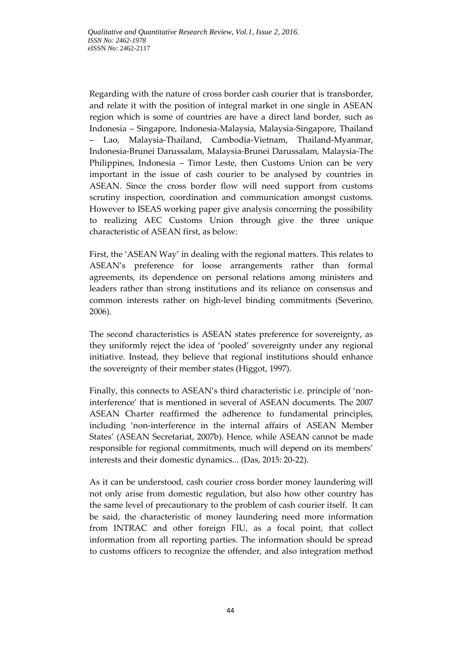Regarding with the nature of cross border cash courier that is transborder, and relate it with the position of integral market in one single in ASEAN region which is some of countries are have a direct land border, such as Indonesia – Singapore, Indonesia-Malaysia, Malaysia-Singapore, Thailand – Lao, Malaysia-Thailand, Cambodia-Vietnam, Thailand-Myanmar, Indonesia-Brunei Darussalam, Malaysia-Brunei Darussalam, Malaysia-The Philippines, Indonesia – Timor Leste, then Customs Union can be very important in the issue of cash courier to be analysed by countries in ASEAN. Since the cross border flow will need support from customs scrutiny inspection, coordination and communication amongst customs. However to ISEAS working paper give analysis concerning the possibility to realizing AEC Customs Union through give the three unique characteristic of ASEAN first, as below:

First, the 'ASEAN Way' in dealing with the regional matters. This relates to ASEAN's preference for loose arrangements rather than formal agreements, its dependence on personal relations among ministers and leaders rather than strong institutions and its reliance on consensus and common interests rather on high-level binding commitments (Severino, 2006).

The second characteristics is ASEAN states preference for sovereignty, as they uniformly reject the idea of 'pooled' sovereignty under any regional initiative. Instead, they believe that regional institutions should enhance the sovereignty of their member states (Higgot, 1997).

Finally, this connects to ASEAN's third characteristic i.e. principle of 'noninterference' that is mentioned in several of ASEAN documents. The 2007 ASEAN Charter reaffirmed the adherence to fundamental principles, including 'non-interference in the internal affairs of ASEAN Member States' (ASEAN Secretariat, 2007b)*.* Hence, while ASEAN cannot be made responsible for regional commitments, much will depend on its members' interests and their domestic dynamics... (Das, 2015: 20-22).

As it can be understood, cash courier cross border money laundering will not only arise from domestic regulation, but also how other country has the same level of precautionary to the problem of cash courier itself. It can be said, the characteristic of money laundering need more information from INTRAC and other foreign FIU, as a focal point, that collect information from all reporting parties. The information should be spread to customs officers to recognize the offender, and also integration method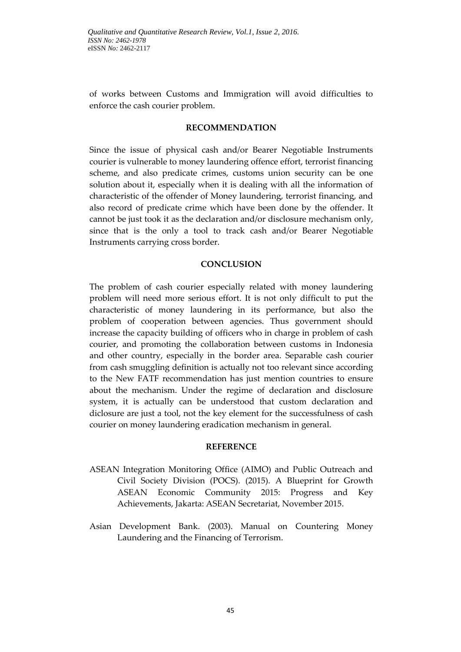of works between Customs and Immigration will avoid difficulties to enforce the cash courier problem.

### **RECOMMENDATION**

Since the issue of physical cash and/or Bearer Negotiable Instruments courier is vulnerable to money laundering offence effort, terrorist financing scheme, and also predicate crimes, customs union security can be one solution about it, especially when it is dealing with all the information of characteristic of the offender of Money laundering, terrorist financing, and also record of predicate crime which have been done by the offender. It cannot be just took it as the declaration and/or disclosure mechanism only, since that is the only a tool to track cash and/or Bearer Negotiable Instruments carrying cross border.

### **CONCLUSION**

The problem of cash courier especially related with money laundering problem will need more serious effort. It is not only difficult to put the characteristic of money laundering in its performance, but also the problem of cooperation between agencies. Thus government should increase the capacity building of officers who in charge in problem of cash courier, and promoting the collaboration between customs in Indonesia and other country, especially in the border area. Separable cash courier from cash smuggling definition is actually not too relevant since according to the New FATF recommendation has just mention countries to ensure about the mechanism. Under the regime of declaration and disclosure system, it is actually can be understood that custom declaration and diclosure are just a tool, not the key element for the successfulness of cash courier on money laundering eradication mechanism in general.

#### **REFERENCE**

- ASEAN Integration Monitoring Office (AIMO) and Public Outreach and Civil Society Division (POCS). (2015). A Blueprint for Growth ASEAN Economic Community 2015: Progress and Key Achievements, Jakarta: ASEAN Secretariat, November 2015.
- Asian Development Bank. (2003). Manual on Countering Money Laundering and the Financing of Terrorism.